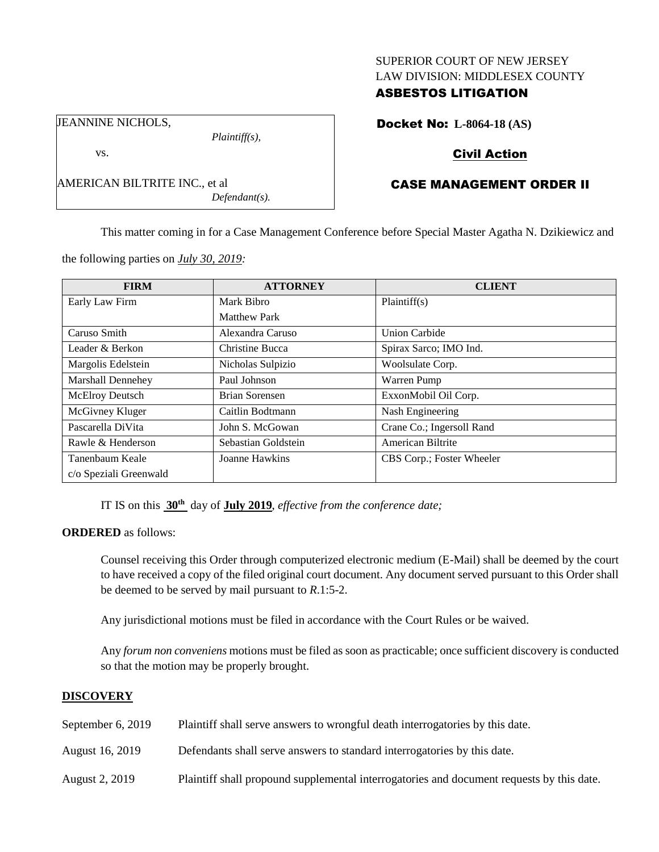### SUPERIOR COURT OF NEW JERSEY LAW DIVISION: MIDDLESEX COUNTY

# ASBESTOS LITIGATION

JEANNINE NICHOLS,

vs.

AMERICAN BILTRITE INC., et al *Defendant(s).*

*Plaintiff(s),*

Docket No: **L-8064-18 (AS)**

# Civil Action

# CASE MANAGEMENT ORDER II

This matter coming in for a Case Management Conference before Special Master Agatha N. Dzikiewicz and

the following parties on *July 30, 2019:*

| <b>FIRM</b>              | <b>ATTORNEY</b>     | <b>CLIENT</b>             |
|--------------------------|---------------------|---------------------------|
| Early Law Firm           | Mark Bibro          | Plaintiff(s)              |
|                          | <b>Matthew Park</b> |                           |
| Caruso Smith             | Alexandra Caruso    | <b>Union Carbide</b>      |
| Leader & Berkon          | Christine Bucca     | Spirax Sarco; IMO Ind.    |
| Margolis Edelstein       | Nicholas Sulpizio   | Woolsulate Corp.          |
| <b>Marshall Dennehey</b> | Paul Johnson        | Warren Pump               |
| McElroy Deutsch          | Brian Sorensen      | ExxonMobil Oil Corp.      |
| McGivney Kluger          | Caitlin Bodtmann    | Nash Engineering          |
| Pascarella DiVita        | John S. McGowan     | Crane Co.; Ingersoll Rand |
| Rawle & Henderson        | Sebastian Goldstein | American Biltrite         |
| Tanenbaum Keale          | Joanne Hawkins      | CBS Corp.; Foster Wheeler |
| c/o Speziali Greenwald   |                     |                           |

IT IS on this **30th** day of **July 2019**, *effective from the conference date;*

**ORDERED** as follows:

Counsel receiving this Order through computerized electronic medium (E-Mail) shall be deemed by the court to have received a copy of the filed original court document. Any document served pursuant to this Order shall be deemed to be served by mail pursuant to *R*.1:5-2.

Any jurisdictional motions must be filed in accordance with the Court Rules or be waived.

Any *forum non conveniens* motions must be filed as soon as practicable; once sufficient discovery is conducted so that the motion may be properly brought.

## **DISCOVERY**

| September 6, 2019 | Plaintiff shall serve answers to wrongful death interrogatories by this date.             |
|-------------------|-------------------------------------------------------------------------------------------|
| August 16, 2019   | Defendants shall serve answers to standard interrogatories by this date.                  |
| August 2, 2019    | Plaintiff shall propound supplemental interrogatories and document requests by this date. |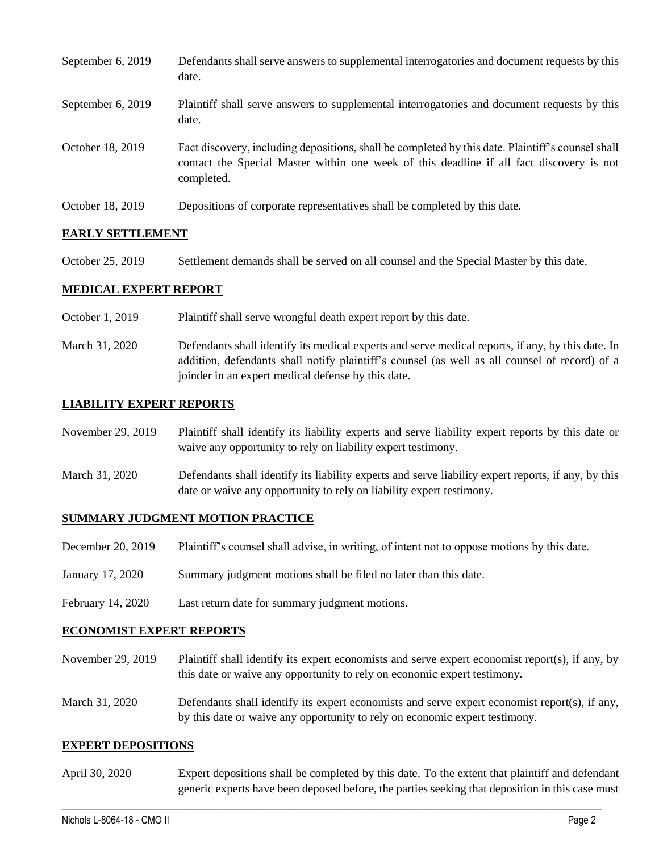| September 6, 2019 | Defendants shall serve answers to supplemental interrogatories and document requests by this<br>date.                                                                                                       |
|-------------------|-------------------------------------------------------------------------------------------------------------------------------------------------------------------------------------------------------------|
| September 6, 2019 | Plaintiff shall serve answers to supplemental interrogatories and document requests by this<br>date.                                                                                                        |
| October 18, 2019  | Fact discovery, including depositions, shall be completed by this date. Plaintiff's counsel shall<br>contact the Special Master within one week of this deadline if all fact discovery is not<br>completed. |
| October 18, 2019  | Depositions of corporate representatives shall be completed by this date.                                                                                                                                   |

### **EARLY SETTLEMENT**

October 25, 2019 Settlement demands shall be served on all counsel and the Special Master by this date.

### **MEDICAL EXPERT REPORT**

- October 1, 2019 Plaintiff shall serve wrongful death expert report by this date.
- March 31, 2020 Defendants shall identify its medical experts and serve medical reports, if any, by this date. In addition, defendants shall notify plaintiff's counsel (as well as all counsel of record) of a joinder in an expert medical defense by this date.

### **LIABILITY EXPERT REPORTS**

November 29, 2019 Plaintiff shall identify its liability experts and serve liability expert reports by this date or waive any opportunity to rely on liability expert testimony.

March 31, 2020 Defendants shall identify its liability experts and serve liability expert reports, if any, by this date or waive any opportunity to rely on liability expert testimony.

#### **SUMMARY JUDGMENT MOTION PRACTICE**

- December 20, 2019 Plaintiff's counsel shall advise, in writing, of intent not to oppose motions by this date.
- January 17, 2020 Summary judgment motions shall be filed no later than this date.
- February 14, 2020 Last return date for summary judgment motions.

#### **ECONOMIST EXPERT REPORTS**

- November 29, 2019 Plaintiff shall identify its expert economists and serve expert economist report(s), if any, by this date or waive any opportunity to rely on economic expert testimony.
- March 31, 2020 Defendants shall identify its expert economists and serve expert economist report(s), if any, by this date or waive any opportunity to rely on economic expert testimony.

#### **EXPERT DEPOSITIONS**

April 30, 2020 Expert depositions shall be completed by this date. To the extent that plaintiff and defendant generic experts have been deposed before, the parties seeking that deposition in this case must

 $\_$  , and the set of the set of the set of the set of the set of the set of the set of the set of the set of the set of the set of the set of the set of the set of the set of the set of the set of the set of the set of th